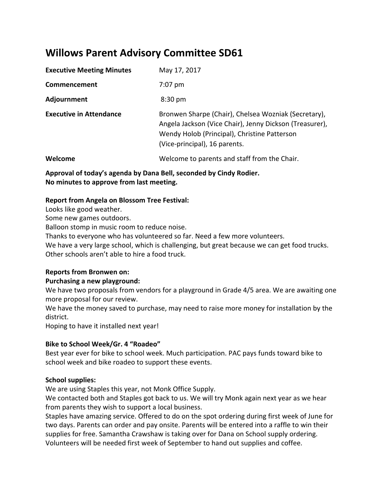# **Willows Parent Advisory Committee SD61**

| <b>Executive Meeting Minutes</b> | May 17, 2017                                                                                                                                                                                     |
|----------------------------------|--------------------------------------------------------------------------------------------------------------------------------------------------------------------------------------------------|
| Commencement                     | $7:07$ pm                                                                                                                                                                                        |
| Adjournment                      | $8:30 \text{ pm}$                                                                                                                                                                                |
| <b>Executive in Attendance</b>   | Bronwen Sharpe (Chair), Chelsea Wozniak (Secretary),<br>Angela Jackson (Vice Chair), Jenny Dickson (Treasurer),<br>Wendy Holob (Principal), Christine Patterson<br>(Vice-principal), 16 parents. |
| Welcome                          | Welcome to parents and staff from the Chair.                                                                                                                                                     |

**Approval of today's agenda by Dana Bell, seconded by Cindy Rodier. No minutes to approve from last meeting.**

### **Report from Angela on Blossom Tree Festival:**

Looks like good weather.

Some new games outdoors.

Balloon stomp in music room to reduce noise.

Thanks to everyone who has volunteered so far. Need a few more volunteers.

We have a very large school, which is challenging, but great because we can get food trucks. Other schools aren't able to hire a food truck.

# **Reports from Bronwen on:**

# **Purchasing a new playground:**

We have two proposals from vendors for a playground in Grade 4/5 area. We are awaiting one more proposal for our review.

We have the money saved to purchase, may need to raise more money for installation by the district.

Hoping to have it installed next year!

# **Bike to School Week/Gr. 4 "Roadeo"**

Best year ever for bike to school week. Much participation. PAC pays funds toward bike to school week and bike roadeo to support these events.

# **School supplies:**

We are using Staples this year, not Monk Office Supply.

We contacted both and Staples got back to us. We will try Monk again next year as we hear from parents they wish to support a local business.

Staples have amazing service. Offered to do on the spot ordering during first week of June for two days. Parents can order and pay onsite. Parents will be entered into a raffle to win their supplies for free. Samantha Crawshaw is taking over for Dana on School supply ordering. Volunteers will be needed first week of September to hand out supplies and coffee.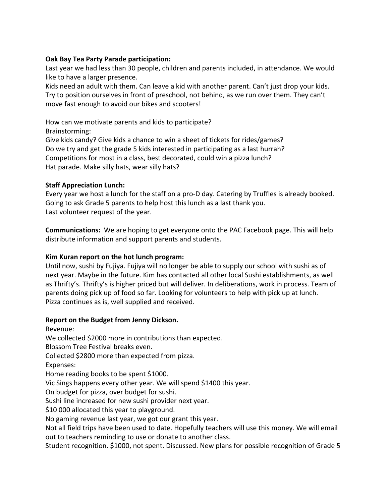## **Oak Bay Tea Party Parade participation:**

Last year we had less than 30 people, children and parents included, in attendance. We would like to have a larger presence.

Kids need an adult with them. Can leave a kid with another parent. Can't just drop your kids. Try to position ourselves in front of preschool, not behind, as we run over them. They can't move fast enough to avoid our bikes and scooters!

How can we motivate parents and kids to participate? Brainstorming:

Give kids candy? Give kids a chance to win a sheet of tickets for rides/games? Do we try and get the grade 5 kids interested in participating as a last hurrah? Competitions for most in a class, best decorated, could win a pizza lunch? Hat parade. Make silly hats, wear silly hats?

### **Staff Appreciation Lunch:**

Every year we host a lunch for the staff on a pro-D day. Catering by Truffles is already booked. Going to ask Grade 5 parents to help host this lunch as a last thank you. Last volunteer request of the year.

**Communications:** We are hoping to get everyone onto the PAC Facebook page. This will help distribute information and support parents and students.

# **Kim Kuran report on the hot lunch program:**

Until now, sushi by Fujiya. Fujiya will no longer be able to supply our school with sushi as of next year. Maybe in the future. Kim has contacted all other local Sushi establishments, as well as Thrifty's. Thrifty's is higher priced but will deliver. In deliberations, work in process. Team of parents doing pick up of food so far. Looking for volunteers to help with pick up at lunch. Pizza continues as is, well supplied and received.

#### **Report on the Budget from Jenny Dickson.**

Revenue: We collected \$2000 more in contributions than expected. Blossom Tree Festival breaks even. Collected \$2800 more than expected from pizza. Expenses: Home reading books to be spent \$1000. Vic Sings happens every other year. We will spend \$1400 this year. On budget for pizza, over budget for sushi. Sushi line increased for new sushi provider next year. \$10 000 allocated this year to playground. No gaming revenue last year, we got our grant this year. Not all field trips have been used to date. Hopefully teachers will use this money. We will email out to teachers reminding to use or donate to another class.

Student recognition. \$1000, not spent. Discussed. New plans for possible recognition of Grade 5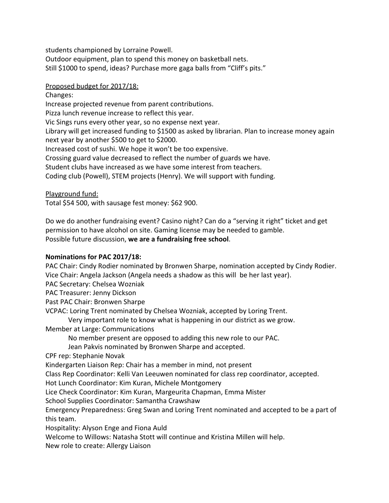students championed by Lorraine Powell.

Outdoor equipment, plan to spend this money on basketball nets.

Still \$1000 to spend, ideas? Purchase more gaga balls from "Cliff's pits."

#### Proposed budget for 2017/18:

Changes: Increase projected revenue from parent contributions. Pizza lunch revenue increase to reflect this year. Vic Sings runs every other year, so no expense next year. Library will get increased funding to \$1500 as asked by librarian. Plan to increase money again next year by another \$500 to get to \$2000. Increased cost of sushi. We hope it won't be too expensive. Crossing guard value decreased to reflect the number of guards we have. Student clubs have increased as we have some interest from teachers. Coding club (Powell), STEM projects (Henry). We will support with funding.

### Playground fund:

Total \$54 500, with sausage fest money: \$62 900.

Do we do another fundraising event? Casino night? Can do a "serving it right" ticket and get permission to have alcohol on site. Gaming license may be needed to gamble. Possible future discussion, **we are a fundraising free school**.

# **Nominations for PAC 2017/18:**

PAC Chair: Cindy Rodier nominated by Bronwen Sharpe, nomination accepted by Cindy Rodier. Vice Chair: Angela Jackson (Angela needs a shadow as this will be her last year).

PAC Secretary: Chelsea Wozniak

PAC Treasurer: Jenny Dickson

Past PAC Chair: Bronwen Sharpe

VCPAC: Loring Trent nominated by Chelsea Wozniak, accepted by Loring Trent.

Very important role to know what is happening in our district as we grow.

Member at Large: Communications

No member present are opposed to adding this new role to our PAC.

Jean Pakvis nominated by Bronwen Sharpe and accepted.

CPF rep: Stephanie Novak

Kindergarten Liaison Rep: Chair has a member in mind, not present

Class Rep Coordinator: Kelli Van Leeuwen nominated for class rep coordinator, accepted.

Hot Lunch Coordinator: Kim Kuran, Michele Montgomery

Lice Check Coordinator: Kim Kuran, Margeurita Chapman, Emma Mister

School Supplies Coordinator: Samantha Crawshaw

Emergency Preparedness: Greg Swan and Loring Trent nominated and accepted to be a part of this team.

Hospitality: Alyson Enge and Fiona Auld

Welcome to Willows: Natasha Stott will continue and Kristina Millen will help.

New role to create: Allergy Liaison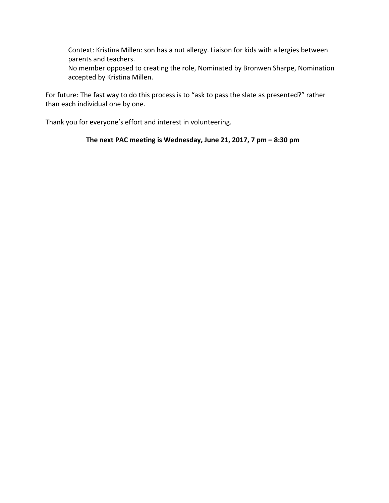Context: Kristina Millen: son has a nut allergy. Liaison for kids with allergies between parents and teachers.

No member opposed to creating the role, Nominated by Bronwen Sharpe, Nomination accepted by Kristina Millen.

For future: The fast way to do this process is to "ask to pass the slate as presented?" rather than each individual one by one.

Thank you for everyone's effort and interest in volunteering.

### **The next PAC meeting is Wednesday, June 21, 2017, 7 pm – 8:30 pm**